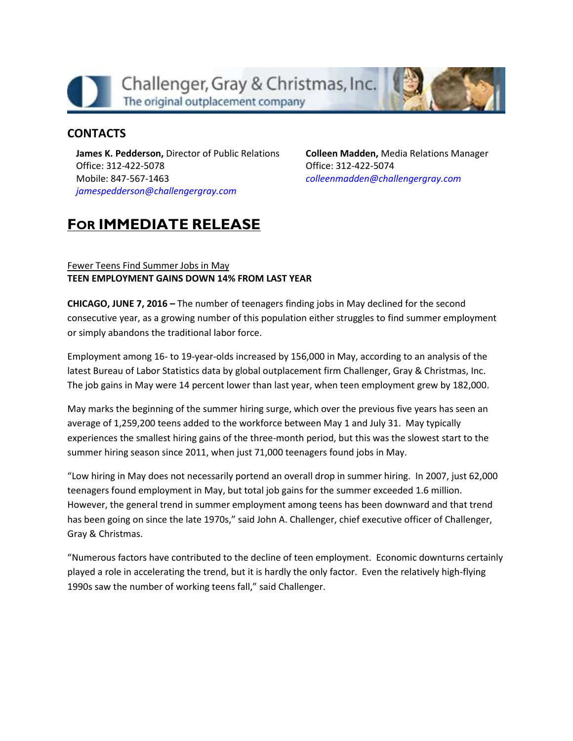

## **CONTACTS**

**James K. Pedderson,** Director of Public Relations Office: 312-422-5078 Mobile: 847-567-1463 *[jamespedderson@challengergray.com](mailto:jamespedderson@challengergray.com)*

**Colleen Madden,** Media Relations Manager Office: 312-422-5074 *[colleenmadden@challengergray.com](mailto:colleenmadden@challengergray.com)*

# **FOR IMMEDIATE RELEASE**

#### Fewer Teens Find Summer Jobs in May **TEEN EMPLOYMENT GAINS DOWN 14% FROM LAST YEAR**

**CHICAGO, JUNE 7, 2016 –** The number of teenagers finding jobs in May declined for the second consecutive year, as a growing number of this population either struggles to find summer employment or simply abandons the traditional labor force.

Employment among 16- to 19-year-olds increased by 156,000 in May, according to an analysis of the latest Bureau of Labor Statistics data by global outplacement firm Challenger, Gray & Christmas, Inc. The job gains in May were 14 percent lower than last year, when teen employment grew by 182,000.

May marks the beginning of the summer hiring surge, which over the previous five years has seen an average of 1,259,200 teens added to the workforce between May 1 and July 31. May typically experiences the smallest hiring gains of the three-month period, but this was the slowest start to the summer hiring season since 2011, when just 71,000 teenagers found jobs in May.

"Low hiring in May does not necessarily portend an overall drop in summer hiring. In 2007, just 62,000 teenagers found employment in May, but total job gains for the summer exceeded 1.6 million. However, the general trend in summer employment among teens has been downward and that trend has been going on since the late 1970s," said John A. Challenger, chief executive officer of Challenger, Gray & Christmas.

"Numerous factors have contributed to the decline of teen employment. Economic downturns certainly played a role in accelerating the trend, but it is hardly the only factor. Even the relatively high-flying 1990s saw the number of working teens fall," said Challenger.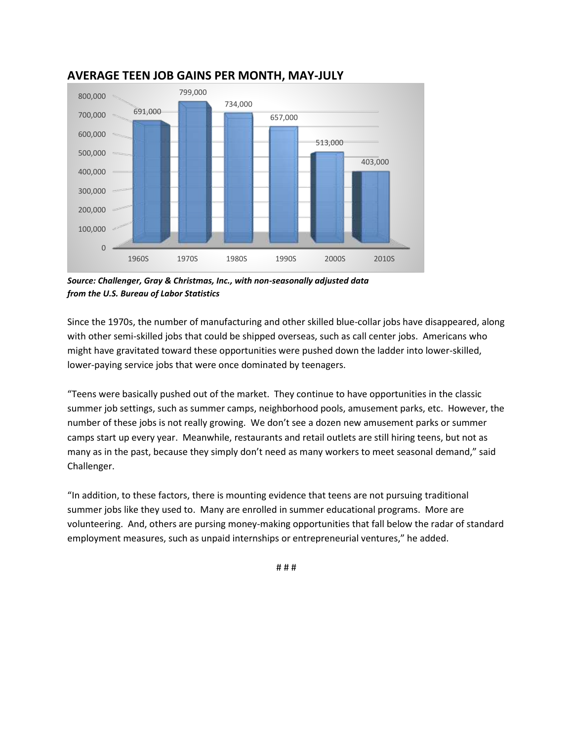

## **AVERAGE TEEN JOB GAINS PER MONTH, MAY-JULY**

*Source: Challenger, Gray & Christmas, Inc., with non-seasonally adjusted data from the U.S. Bureau of Labor Statistics*

Since the 1970s, the number of manufacturing and other skilled blue-collar jobs have disappeared, along with other semi-skilled jobs that could be shipped overseas, such as call center jobs. Americans who might have gravitated toward these opportunities were pushed down the ladder into lower-skilled, lower-paying service jobs that were once dominated by teenagers.

"Teens were basically pushed out of the market. They continue to have opportunities in the classic summer job settings, such as summer camps, neighborhood pools, amusement parks, etc. However, the number of these jobs is not really growing. We don't see a dozen new amusement parks or summer camps start up every year. Meanwhile, restaurants and retail outlets are still hiring teens, but not as many as in the past, because they simply don't need as many workers to meet seasonal demand," said Challenger.

"In addition, to these factors, there is mounting evidence that teens are not pursuing traditional summer jobs like they used to. Many are enrolled in summer educational programs. More are volunteering. And, others are pursing money-making opportunities that fall below the radar of standard employment measures, such as unpaid internships or entrepreneurial ventures," he added.

# # #